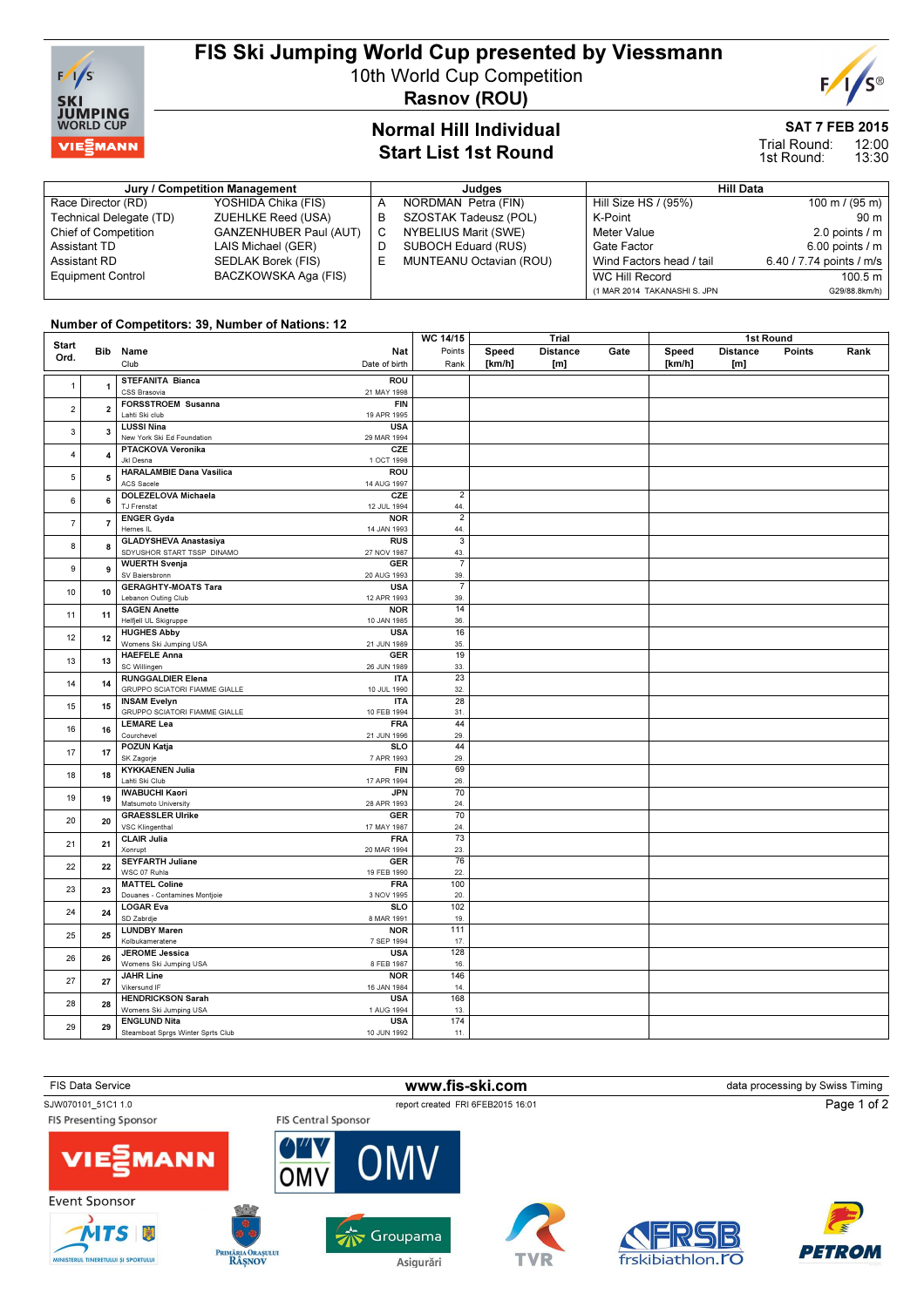

## FIS Ski Jumping World Cup presented by Viessmann

10th World Cup Competition

Rasnov (ROU)

### Normal Hill Individual Start List 1st Round

### SAT 7 FEB 2015

E

12:00 13:30 Trial Round: 1st Round:

| Jury / Competition Management |                               |   | Judges                  | <b>Hill Data</b>             |                          |  |
|-------------------------------|-------------------------------|---|-------------------------|------------------------------|--------------------------|--|
| Race Director (RD)            | YOSHIDA Chika (FIS)           |   | NORDMAN Petra (FIN)     | Hill Size HS / (95%)         | 100 m / $(95 m)$         |  |
| Technical Delegate (TD)       | ZUEHLKE Reed (USA)            | в | SZOSTAK Tadeusz (POL)   | K-Point                      | 90 m                     |  |
| Chief of Competition          | <b>GANZENHUBER Paul (AUT)</b> |   | NYBELIUS Marit (SWE)    | Meter Value                  | 2.0 points $/m$          |  |
| Assistant TD                  | LAIS Michael (GER)            |   | SUBOCH Eduard (RUS)     | Gate Factor                  | $6.00$ points $/ m$      |  |
| Assistant RD                  | SEDLAK Borek (FIS)            |   | MUNTEANU Octavian (ROU) | Wind Factors head / tail     | 6.40 / 7.74 points / m/s |  |
| <b>Equipment Control</b>      | BACZKOWSKA Aga (FIS)          |   |                         | WC Hill Record               | 100.5 m                  |  |
|                               |                               |   |                         | (1 MAR 2014 TAKANASHI S. JPN | G29/88.8km/h)            |  |

#### Number of Competitors: 39, Number of Nations: 12

|                |                                      |                                                                                   | WC 14/15                | Trial  |                  | 1st Round |        |                 |        |      |
|----------------|--------------------------------------|-----------------------------------------------------------------------------------|-------------------------|--------|------------------|-----------|--------|-----------------|--------|------|
| <b>Start</b>   |                                      | Bib Name<br>Nat                                                                   | Points                  | Speed  | <b>Distance</b>  | Gate      | Speed  | <b>Distance</b> | Points | Rank |
| Ord.           |                                      | Club<br>Date of birth                                                             | Rank                    | [km/h] | [ <sub>m</sub> ] |           | [km/h] | [m]             |        |      |
|                |                                      |                                                                                   |                         |        |                  |           |        |                 |        |      |
| $\mathbf{1}$   | $\overline{1}$                       | <b>STEFANITA Bianca</b><br><b>ROU</b>                                             |                         |        |                  |           |        |                 |        |      |
|                |                                      | 21 MAY 1998<br>CSS Brasovia<br>FORSSTROEM Susanna<br><b>FIN</b>                   |                         |        |                  |           |        |                 |        |      |
| $\overline{2}$ | $\overline{2}$                       | Lahti Ski club<br>19 APR 1995                                                     |                         |        |                  |           |        |                 |        |      |
|                |                                      | <b>LUSSI Nina</b><br><b>USA</b>                                                   |                         |        |                  |           |        |                 |        |      |
| 3              | $\overline{\mathbf{3}}$              | New York Ski Ed Foundation<br>29 MAR 1994                                         |                         |        |                  |           |        |                 |        |      |
|                |                                      | PTACKOVA Veronika<br>CZE                                                          |                         |        |                  |           |        |                 |        |      |
| $\overline{4}$ | $\overline{a}$                       | Jkl Desna<br>1 OCT 1998                                                           |                         |        |                  |           |        |                 |        |      |
|                |                                      | <b>HARALAMBIE Dana Vasilica</b><br>ROU                                            |                         |        |                  |           |        |                 |        |      |
| 5              | 5                                    | ACS Sacele<br>14 AUG 1997                                                         |                         |        |                  |           |        |                 |        |      |
|                |                                      | DOLEZELOVA Michaela<br>CZE                                                        | $\overline{2}$          |        |                  |           |        |                 |        |      |
| 6              | 6                                    | TJ Frenstat<br>12 JUL 1994                                                        | 44.                     |        |                  |           |        |                 |        |      |
| $\overline{7}$ |                                      | <b>ENGER Gyda</b><br><b>NOR</b>                                                   | $\overline{2}$          |        |                  |           |        |                 |        |      |
|                | $\overline{7}$                       | Hernes IL<br>14 JAN 1993                                                          | 44.                     |        |                  |           |        |                 |        |      |
| 8              | 8                                    | <b>GLADYSHEVA Anastasiya</b><br>RUS                                               | $\overline{\mathbf{3}}$ |        |                  |           |        |                 |        |      |
|                |                                      | SDYUSHOR START TSSP DINAMO<br>27 NOV 1987                                         | 43.                     |        |                  |           |        |                 |        |      |
| 9              | 9                                    | <b>GER</b><br><b>WUERTH Svenja</b>                                                | $\overline{7}$          |        |                  |           |        |                 |        |      |
|                |                                      | SV Baiersbronn<br>20 AUG 1993                                                     | 39.                     |        |                  |           |        |                 |        |      |
| 10             | 10                                   | <b>GERAGHTY-MOATS Tara</b><br><b>USA</b>                                          | $\overline{7}$          |        |                  |           |        |                 |        |      |
|                |                                      | Lebanon Outing Club<br>12 APR 1993                                                | 39.                     |        |                  |           |        |                 |        |      |
| 11             | 11                                   | <b>SAGEN Anette</b><br><b>NOR</b>                                                 | 14                      |        |                  |           |        |                 |        |      |
|                |                                      | Helfjell UL Skigruppe<br>10 JAN 1985                                              | 36.                     |        |                  |           |        |                 |        |      |
| 12             | 12                                   | <b>USA</b><br><b>HUGHES Abby</b>                                                  | 16                      |        |                  |           |        |                 |        |      |
|                |                                      | Womens Ski Jumping USA<br>21 JUN 1989                                             | 35.                     |        |                  |           |        |                 |        |      |
| 13             | 13                                   | <b>HAEFELE Anna</b><br><b>GER</b><br>SC Willingen<br>26 JUN 1989                  | 19<br>33.               |        |                  |           |        |                 |        |      |
|                |                                      | <b>RUNGGALDIER Elena</b><br><b>ITA</b>                                            | 23                      |        |                  |           |        |                 |        |      |
| 14             | 14                                   | GRUPPO SCIATORI FIAMME GIALLE<br>10 JUL 1990                                      | 32.                     |        |                  |           |        |                 |        |      |
|                |                                      | <b>INSAM Evelyn</b><br><b>ITA</b>                                                 | 28                      |        |                  |           |        |                 |        |      |
| 15             | 15                                   | GRUPPO SCIATORI FIAMME GIALLE<br>10 FEB 1994                                      | 31.                     |        |                  |           |        |                 |        |      |
|                |                                      | <b>LEMARE Lea</b><br><b>FRA</b>                                                   | 44                      |        |                  |           |        |                 |        |      |
| 16             | 16                                   | Courchevel<br>21 JUN 1996                                                         | 29.                     |        |                  |           |        |                 |        |      |
|                |                                      | POZUN Katja<br><b>SLO</b>                                                         | 44                      |        |                  |           |        |                 |        |      |
| 17             | 17                                   | SK Zagorje<br>7 APR 1993                                                          | 29.                     |        |                  |           |        |                 |        |      |
|                |                                      | <b>KYKKAENEN Julia</b><br><b>FIN</b>                                              | 69                      |        |                  |           |        |                 |        |      |
| 18             | 18                                   | Lahti Ski Club<br>17 APR 1994                                                     | 26.                     |        |                  |           |        |                 |        |      |
| 19             | 19                                   | <b>JPN</b><br><b>IWABUCHI Kaori</b>                                               | 70                      |        |                  |           |        |                 |        |      |
|                |                                      | Matsumoto University<br>28 APR 1993                                               | 24                      |        |                  |           |        |                 |        |      |
| 20             | 20                                   | <b>GRAESSLER Ulrike</b><br><b>GER</b>                                             | 70                      |        |                  |           |        |                 |        |      |
|                |                                      | VSC Klingenthal<br>17 MAY 1987                                                    | 24.                     |        |                  |           |        |                 |        |      |
| 21<br>21       | <b>CLAIR Julia</b><br><b>FRA</b>     | 73                                                                                |                         |        |                  |           |        |                 |        |      |
|                |                                      | Xonrupt<br>20 MAR 1994                                                            | 23.                     |        |                  |           |        |                 |        |      |
| 22             | 22                                   | <b>SEYFARTH Juliane</b><br><b>GER</b>                                             | 76                      |        |                  |           |        |                 |        |      |
|                |                                      | WSC 07 Ruhla<br>19 FEB 1990                                                       | 22.                     |        |                  |           |        |                 |        |      |
| 23             | 23                                   | <b>MATTEL Coline</b><br><b>FRA</b><br>Douanes - Contamines Montjoie<br>3 NOV 1995 | 100<br>20.              |        |                  |           |        |                 |        |      |
|                |                                      | <b>LOGAR Eva</b><br>SLO                                                           | 102                     |        |                  |           |        |                 |        |      |
| 24             | 24                                   | SD Zabrdje<br>8 MAR 1991                                                          | 19.                     |        |                  |           |        |                 |        |      |
|                |                                      | <b>LUNDBY Maren</b><br><b>NOR</b>                                                 | 111                     |        |                  |           |        |                 |        |      |
|                | 25<br>25                             | Kolbukameratene<br>7 SEP 1994                                                     | 17.                     |        |                  |           |        |                 |        |      |
|                | <b>USA</b><br><b>JEROME Jessica</b>  | 128                                                                               |                         |        |                  |           |        |                 |        |      |
| 26<br>26       | Womens Ski Jumping USA<br>8 FEB 1987 | 16.                                                                               |                         |        |                  |           |        |                 |        |      |
|                |                                      | <b>JAHR Line</b><br><b>NOR</b>                                                    | 146                     |        |                  |           |        |                 |        |      |
| 27             | 27                                   | Vikersund IF<br>16 JAN 1984                                                       | 14.                     |        |                  |           |        |                 |        |      |
|                |                                      | <b>HENDRICKSON Sarah</b><br><b>USA</b>                                            | 168                     |        |                  |           |        |                 |        |      |
| 28             | 28                                   | Womens Ski Jumping USA<br>1 AUG 1994                                              | 13.                     |        |                  |           |        |                 |        |      |
| 29             | 29                                   | <b>ENGLUND Nita</b><br><b>USA</b>                                                 | 174                     |        |                  |           |        |                 |        |      |
|                |                                      | Steamboat Sprgs Winter Sprts Club<br>10 JUN 1992                                  | 11.                     |        |                  |           |        |                 |        |      |